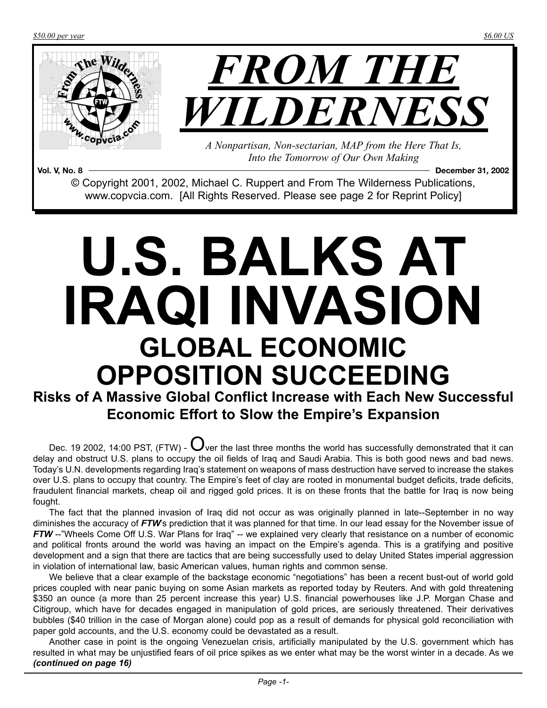*\$50.00 per year \$6.00 US*



**Vol. V, No. 8 December 31, 2002** © Copyright 2001, 2002, Michael C. Ruppert and From The Wilderness Publications, www.copvcia.com. [All Rights Reserved. Please see page 2 for Reprint Policy]

# **U.S. BALKS AT IRAQI INVASION GLOBAL ECONOMIC OPPOSITION SUCCEEDING**

**Risks of A Massive Global Conflict Increase with Each New Successful Economic Effort to Slow the Empire's Expansion**

Dec. 19 2002, 14:00 PST, (FTW) -  $\bigcup_{v \in V}$  the last three months the world has successfully demonstrated that it can delay and obstruct U.S. plans to occupy the oil fields of Iraq and Saudi Arabia. This is both good news and bad news. Today's U.N. developments regarding Iraq's statement on weapons of mass destruction have served to increase the stakes over U.S. plans to occupy that country. The Empire's feet of clay are rooted in monumental budget deficits, trade deficits, fraudulent financial markets, cheap oil and rigged gold prices. It is on these fronts that the battle for Iraq is now being fought.

The fact that the planned invasion of Iraq did not occur as was originally planned in late--September in no way diminishes the accuracy of *FTW*'s prediction that it was planned for that time. In our lead essay for the November issue of *FTW* --"Wheels Come Off U.S. War Plans for Iraq" -- we explained very clearly that resistance on a number of economic and political fronts around the world was having an impact on the Empire's agenda. This is a gratifying and positive development and a sign that there are tactics that are being successfully used to delay United States imperial aggression in violation of international law, basic American values, human rights and common sense.

We believe that a clear example of the backstage economic "negotiations" has been a recent bust-out of world gold prices coupled with near panic buying on some Asian markets as reported today by Reuters. And with gold threatening \$350 an ounce (a more than 25 percent increase this year) U.S. financial powerhouses like J.P. Morgan Chase and Citigroup, which have for decades engaged in manipulation of gold prices, are seriously threatened. Their derivatives bubbles (\$40 trillion in the case of Morgan alone) could pop as a result of demands for physical gold reconciliation with paper gold accounts, and the U.S. economy could be devastated as a result.

Another case in point is the ongoing Venezuelan crisis, artificially manipulated by the U.S. government which has resulted in what may be unjustified fears of oil price spikes as we enter what may be the worst winter in a decade. As we *(continued on page 16)*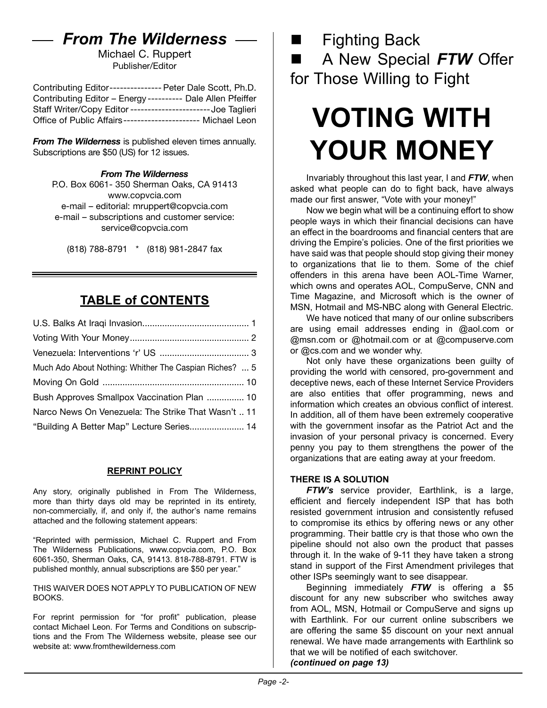### *From The Wilderness*

Michael C. Ruppert Publisher/Editor

Contributing Editor--------------- Peter Dale Scott, Ph.D. Contributing Editor – Energy ---------- Dale Allen Pfeiffer Staff Writer/Copy Editor-----------------------Joe Taglieri Office of Public Affairs---------------------- Michael Leon

*From The Wilderness* is published eleven times annually. Subscriptions are \$50 (US) for 12 issues.

### *From The Wilderness*

P.O. Box 6061- 350 Sherman Oaks, CA 91413 [www.copvcia.com](http://www.copvcia.com) e-mail – editorial: mruppert@copvcia.com e-mail – subscriptions and customer service: service@copvcia.com

(818) 788-8791 \* (818) 981-2847 fax

### **TABLE of CONTENTS**

| Much Ado About Nothing: Whither The Caspian Riches?  5 |  |
|--------------------------------------------------------|--|
|                                                        |  |
| Bush Approves Smallpox Vaccination Plan  10            |  |
| Narco News On Venezuela: The Strike That Wasn't  11    |  |
| "Building A Better Map" Lecture Series 14              |  |

### **REPRINT POLICY**

Any story, originally published in From The Wilderness, more than thirty days old may be reprinted in its entirety, non-commercially, if, and only if, the author's name remains attached and the following statement appears:

"Reprinted with permission, Michael C. Ruppert and From The Wilderness Publications, www.copvcia.com, P.O. Box 6061-350, Sherman Oaks, CA, 91413. 818-788-8791. FTW is published monthly, annual subscriptions are \$50 per year."

THIS WAIVER DOES NOT APPLY TO PUBLICATION OF NEW BOOKS.

For reprint permission for "for profit" publication, please contact Michael Leon. For Terms and Conditions on subscriptions and the From The Wilderness website, please see our website at: www.fromthewilderness.com

 $\blacksquare$  Fighting Back

n A New Special *FTW* Offer for Those Willing to Fight

## **VOTING WITH YOUR MONEY**

Invariably throughout this last year, I and *FTW*, when asked what people can do to fight back, have always made our first answer, "Vote with your money!"

Now we begin what will be a continuing effort to show people ways in which their financial decisions can have an effect in the boardrooms and financial centers that are driving the Empire's policies. One of the first priorities we have said was that people should stop giving their money to organizations that lie to them. Some of the chief offenders in this arena have been AOL-Time Warner, which owns and operates AOL, CompuServe, CNN and Time Magazine, and Microsoft which is the owner of MSN, Hotmail and MS-NBC along with General Electric.

We have noticed that many of our online subscribers are using email addresses ending in @aol.com or @msn.com or @hotmail.com or at @compuserve.com or @cs.com and we wonder why.

Not only have these organizations been guilty of providing the world with censored, pro-government and deceptive news, each of these Internet Service Providers are also entities that offer programming, news and information which creates an obvious conflict of interest. In addition, all of them have been extremely cooperative with the government insofar as the Patriot Act and the invasion of your personal privacy is concerned. Every penny you pay to them strengthens the power of the organizations that are eating away at your freedom.

### **THERE IS A SOLUTION**

*FTW's* service provider, Earthlink, is a large, efficient and fiercely independent ISP that has both resisted government intrusion and consistently refused to compromise its ethics by offering news or any other programming. Their battle cry is that those who own the pipeline should not also own the product that passes through it. In the wake of 9-11 they have taken a strong stand in support of the First Amendment privileges that other ISPs seemingly want to see disappear.

Beginning immediately *FTW* is offering a \$5 discount for any new subscriber who switches away from AOL, MSN, Hotmail or CompuServe and signs up with Earthlink. For our current online subscribers we are offering the same \$5 discount on your next annual renewal. We have made arrangements with Earthlink so that we will be notified of each switchover. *(continued on page 13)*

*Page -2-*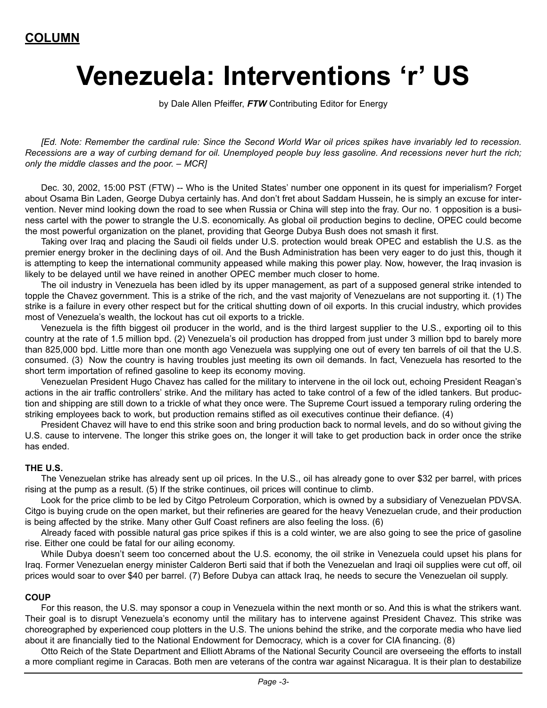## **Venezuela: Interventions 'r' US**

by Dale Allen Pfeiffer, *FTW* Contributing Editor for Energy

*[Ed. Note: Remember the cardinal rule: Since the Second World War oil prices spikes have invariably led to recession. Recessions are a way of curbing demand for oil. Unemployed people buy less gasoline. And recessions never hurt the rich; only the middle classes and the poor. – MCR]*

Dec. 30, 2002, 15:00 PST (FTW) -- Who is the United States' number one opponent in its quest for imperialism? Forget about Osama Bin Laden, George Dubya certainly has. And don't fret about Saddam Hussein, he is simply an excuse for intervention. Never mind looking down the road to see when Russia or China will step into the fray. Our no. 1 opposition is a business cartel with the power to strangle the U.S. economically. As global oil production begins to decline, OPEC could become the most powerful organization on the planet, providing that George Dubya Bush does not smash it first.

Taking over Iraq and placing the Saudi oil fields under U.S. protection would break OPEC and establish the U.S. as the premier energy broker in the declining days of oil. And the Bush Administration has been very eager to do just this, though it is attempting to keep the international community appeased while making this power play. Now, however, the Iraq invasion is likely to be delayed until we have reined in another OPEC member much closer to home.

The oil industry in Venezuela has been idled by its upper management, as part of a supposed general strike intended to topple the Chavez government. This is a strike of the rich, and the vast majority of Venezuelans are not supporting it. (1) The strike is a failure in every other respect but for the critical shutting down of oil exports. In this crucial industry, which provides most of Venezuela's wealth, the lockout has cut oil exports to a trickle.

Venezuela is the fifth biggest oil producer in the world, and is the third largest supplier to the U.S., exporting oil to this country at the rate of 1.5 million bpd. (2) Venezuela's oil production has dropped from just under 3 million bpd to barely more than 825,000 bpd. Little more than one month ago Venezuela was supplying one out of every ten barrels of oil that the U.S. consumed. (3) Now the country is having troubles just meeting its own oil demands. In fact, Venezuela has resorted to the short term importation of refined gasoline to keep its economy moving.

Venezuelan President Hugo Chavez has called for the military to intervene in the oil lock out, echoing President Reagan's actions in the air traffic controllers' strike. And the military has acted to take control of a few of the idled tankers. But production and shipping are still down to a trickle of what they once were. The Supreme Court issued a temporary ruling ordering the striking employees back to work, but production remains stifled as oil executives continue their defiance. (4)

President Chavez will have to end this strike soon and bring production back to normal levels, and do so without giving the U.S. cause to intervene. The longer this strike goes on, the longer it will take to get production back in order once the strike has ended.

### **THE U.S.**

The Venezuelan strike has already sent up oil prices. In the U.S., oil has already gone to over \$32 per barrel, with prices rising at the pump as a result. (5) If the strike continues, oil prices will continue to climb.

Look for the price climb to be led by Citgo Petroleum Corporation, which is owned by a subsidiary of Venezuelan PDVSA. Citgo is buying crude on the open market, but their refineries are geared for the heavy Venezuelan crude, and their production is being affected by the strike. Many other Gulf Coast refiners are also feeling the loss. (6)

Already faced with possible natural gas price spikes if this is a cold winter, we are also going to see the price of gasoline rise. Either one could be fatal for our ailing economy.

While Dubya doesn't seem too concerned about the U.S. economy, the oil strike in Venezuela could upset his plans for Iraq. Former Venezuelan energy minister Calderon Berti said that if both the Venezuelan and Iraqi oil supplies were cut off, oil prices would soar to over \$40 per barrel. (7) Before Dubya can attack Iraq, he needs to secure the Venezuelan oil supply.

#### **COUP**

For this reason, the U.S. may sponsor a coup in Venezuela within the next month or so. And this is what the strikers want. Their goal is to disrupt Venezuela's economy until the military has to intervene against President Chavez. This strike was choreographed by experienced coup plotters in the U.S. The unions behind the strike, and the corporate media who have lied about it are financially tied to the National Endowment for Democracy, which is a cover for CIA financing. (8)

Otto Reich of the State Department and Elliott Abrams of the National Security Council are overseeing the efforts to install a more compliant regime in Caracas. Both men are veterans of the contra war against Nicaragua. It is their plan to destabilize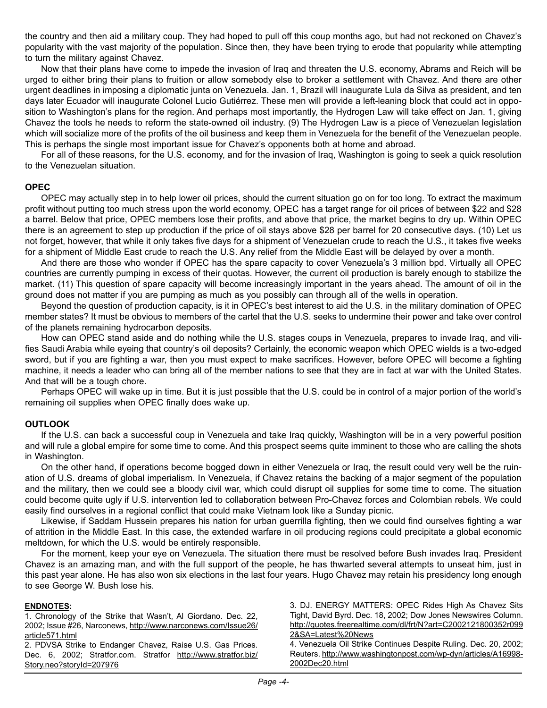the country and then aid a military coup. They had hoped to pull off this coup months ago, but had not reckoned on Chavez's popularity with the vast majority of the population. Since then, they have been trying to erode that popularity while attempting to turn the military against Chavez.

Now that their plans have come to impede the invasion of Iraq and threaten the U.S. economy, Abrams and Reich will be urged to either bring their plans to fruition or allow somebody else to broker a settlement with Chavez. And there are other urgent deadlines in imposing a diplomatic junta on Venezuela. Jan. 1, Brazil will inaugurate Lula da Silva as president, and ten days later Ecuador will inaugurate Colonel Lucio Gutiérrez. These men will provide a left-leaning block that could act in opposition to Washington's plans for the region. And perhaps most importantly, the Hydrogen Law will take effect on Jan. 1, giving Chavez the tools he needs to reform the state-owned oil industry. (9) The Hydrogen Law is a piece of Venezuelan legislation which will socialize more of the profits of the oil business and keep them in Venezuela for the benefit of the Venezuelan people. This is perhaps the single most important issue for Chavez's opponents both at home and abroad.

For all of these reasons, for the U.S. economy, and for the invasion of Iraq, Washington is going to seek a quick resolution to the Venezuelan situation.

### **OPEC**

OPEC may actually step in to help lower oil prices, should the current situation go on for too long. To extract the maximum profit without putting too much stress upon the world economy, OPEC has a target range for oil prices of between \$22 and \$28 a barrel. Below that price, OPEC members lose their profits, and above that price, the market begins to dry up. Within OPEC there is an agreement to step up production if the price of oil stays above \$28 per barrel for 20 consecutive days. (10) Let us not forget, however, that while it only takes five days for a shipment of Venezuelan crude to reach the U.S., it takes five weeks for a shipment of Middle East crude to reach the U.S. Any relief from the Middle East will be delayed by over a month.

And there are those who wonder if OPEC has the spare capacity to cover Venezuela's 3 million bpd. Virtually all OPEC countries are currently pumping in excess of their quotas. However, the current oil production is barely enough to stabilize the market. (11) This question of spare capacity will become increasingly important in the years ahead. The amount of oil in the ground does not matter if you are pumping as much as you possibly can through all of the wells in operation.

Beyond the question of production capacity, is it in OPEC's best interest to aid the U.S. in the military domination of OPEC member states? It must be obvious to members of the cartel that the U.S. seeks to undermine their power and take over control of the planets remaining hydrocarbon deposits.

How can OPEC stand aside and do nothing while the U.S. stages coups in Venezuela, prepares to invade Iraq, and vilifies Saudi Arabia while eyeing that country's oil deposits? Certainly, the economic weapon which OPEC wields is a two-edged sword, but if you are fighting a war, then you must expect to make sacrifices. However, before OPEC will become a fighting machine, it needs a leader who can bring all of the member nations to see that they are in fact at war with the United States. And that will be a tough chore.

Perhaps OPEC will wake up in time. But it is just possible that the U.S. could be in control of a major portion of the world's remaining oil supplies when OPEC finally does wake up.

### **OUTLOOK**

If the U.S. can back a successful coup in Venezuela and take Iraq quickly, Washington will be in a very powerful position and will rule a global empire for some time to come. And this prospect seems quite imminent to those who are calling the shots in Washington.

On the other hand, if operations become bogged down in either Venezuela or Iraq, the result could very well be the ruination of U.S. dreams of global imperialism. In Venezuela, if Chavez retains the backing of a major segment of the population and the military, then we could see a bloody civil war, which could disrupt oil supplies for some time to come. The situation could become quite ugly if U.S. intervention led to collaboration between Pro-Chavez forces and Colombian rebels. We could easily find ourselves in a regional conflict that could make Vietnam look like a Sunday picnic.

Likewise, if Saddam Hussein prepares his nation for urban guerrilla fighting, then we could find ourselves fighting a war of attrition in the Middle East. In this case, the extended warfare in oil producing regions could precipitate a global economic meltdown, for which the U.S. would be entirely responsible.

For the moment, keep your eye on Venezuela. The situation there must be resolved before Bush invades Iraq. President Chavez is an amazing man, and with the full support of the people, he has thwarted several attempts to unseat him, just in this past year alone. He has also won six elections in the last four years. Hugo Chavez may retain his presidency long enough to see George W. Bush lose his.

#### **ENDNOTES:**

1. Chronology of the Strike that Wasn't, Al Giordano. Dec. 22, 2002; Issue #26, Narconews, [http://www.narconews.com/Issue26/](http://www.narconews.com/Issue26/article571.html) [article571.html](http://www.narconews.com/Issue26/article571.html)

2. PDVSA Strike to Endanger Chavez, Raise U.S. Gas Prices. Dec. 6, 2002; Stratfor.com. Stratfor [http://www.stratfor.biz/](http://www.stratfor.biz/Story.neo?storyId=207976) [Story.neo?storyId=207976](http://www.stratfor.biz/Story.neo?storyId=207976)

3. DJ. ENERGY MATTERS: OPEC Rides High As Chavez Sits Tight, David Byrd. Dec. 18, 2002; Dow Jones Newswires Column. [http://quotes.freerealtime.com/dl/frt/N?art=C2002121800352r099](http://quotes.freerealtime.com/dl/frt/N?art=C2002121800352r0992&SA=Latest%20News) [2&SA=Latest%20News](http://quotes.freerealtime.com/dl/frt/N?art=C2002121800352r0992&SA=Latest%20News)

4. Venezuela Oil Strike Continues Despite Ruling. Dec. 20, 2002; Reuters. [http://www.washingtonpost.com/wp-dyn/articles/A16998-](http://www.washingtonpost.com/wp-dyn/articles/A16998-2002Dec20.html) [2002Dec20.html](http://www.washingtonpost.com/wp-dyn/articles/A16998-2002Dec20.html)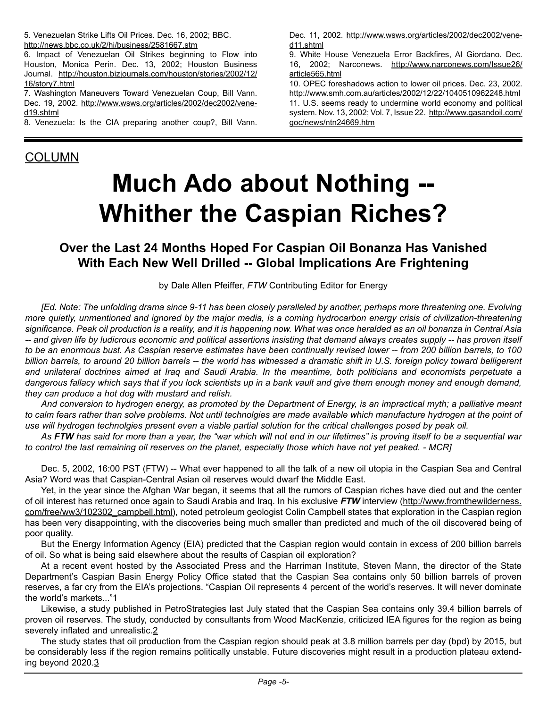5. Venezuelan Strike Lifts Oil Prices. Dec. 16, 2002; BBC. <http://news.bbc.co.uk/2/hi/business/2581667.stm>

6. Impact of Venezuelan Oil Strikes beginning to Flow into Houston, Monica Perin. Dec. 13, 2002; Houston Business Journal. [http://houston.bizjournals.com/houston/stories/2002/12/](http://houston.bizjournals.com/houston/stories/2002/12/16/story7.html) [16/story7.html](http://houston.bizjournals.com/houston/stories/2002/12/16/story7.html)

7. Washington Maneuvers Toward Venezuelan Coup, Bill Vann. Dec. 19, 2002. [http://www.wsws.org/articles/2002/dec2002/vene](http://www.wsws.org/articles/2002/dec2002/vene-d19.shtml)[d19.shtml](http://www.wsws.org/articles/2002/dec2002/vene-d19.shtml)

8. Venezuela: Is the CIA preparing another coup?, Bill Vann.

Dec. 11, 2002. [http://www.wsws.org/articles/2002/dec2002/vene](http://www.wsws.org/articles/2002/dec2002/vene-d11.shtml)[d11.shtml](http://www.wsws.org/articles/2002/dec2002/vene-d11.shtml)

9. White House Venezuela Error Backfires, Al Giordano. Dec. 16, 2002; Narconews. [http://www.narconews.com/Issue26/](http://www.narconews.com/Issue26/article565.html) [article565.html](http://www.narconews.com/Issue26/article565.html)

10. OPEC foreshadows action to lower oil prices. Dec. 23, 2002. <http://www.smh.com.au/articles/2002/12/22/1040510962248.html> 11. U.S. seems ready to undermine world economy and political system. Nov. 13, 2002; Vol. 7, Issue 22. [http://www.gasandoil.com/](http://www.gasandoil.com/goc/news/ntn24669.htm) [goc/news/ntn24669.htm](http://www.gasandoil.com/goc/news/ntn24669.htm)

### COLUMN

## **Much Ado about Nothing -- Whither the Caspian Riches?**

### **Over the Last 24 Months Hoped For Caspian Oil Bonanza Has Vanished With Each New Well Drilled -- Global Implications Are Frightening**

by Dale Allen Pfeiffer, *FTW* Contributing Editor for Energy

*[Ed. Note: The unfolding drama since 9-11 has been closely paralleled by another, perhaps more threatening one. Evolving more quietly, unmentioned and ignored by the major media, is a coming hydrocarbon energy crisis of civilization-threatening significance. Peak oil production is a reality, and it is happening now. What was once heralded as an oil bonanza in Central Asia -- and given life by ludicrous economic and political assertions insisting that demand always creates supply -- has proven itself to be an enormous bust. As Caspian reserve estimates have been continually revised lower -- from 200 billion barrels, to 100 billion barrels, to around 20 billion barrels -- the world has witnessed a dramatic shift in U.S. foreign policy toward belligerent and unilateral doctrines aimed at Iraq and Saudi Arabia. In the meantime, both politicians and economists perpetuate a dangerous fallacy which says that if you lock scientists up in a bank vault and give them enough money and enough demand, they can produce a hot dog with mustard and relish.*

*And conversion to hydrogen energy, as promoted by the Department of Energy, is an impractical myth; a palliative meant to calm fears rather than solve problems. Not until technolgies are made available which manufacture hydrogen at the point of use will hydrogen technolgies present even a viable partial solution for the critical challenges posed by peak oil.*

*As FTW has said for more than a year, the "war which will not end in our lifetimes" is proving itself to be a sequential war to control the last remaining oil reserves on the planet, especially those which have not yet peaked. - MCR]*

Dec. 5, 2002, 16:00 PST (FTW) -- What ever happened to all the talk of a new oil utopia in the Caspian Sea and Central Asia? Word was that Caspian-Central Asian oil reserves would dwarf the Middle East.

Yet, in the year since the Afghan War began, it seems that all the rumors of Caspian riches have died out and the center of oil interest has returned once again to Saudi Arabia and Iraq. In his exclusive *FTW* interview [\(http://www.fromthewilderness.](http://www.fromthewilderness.com/free/ww3/102302_campbell.html) [com/free/ww3/102302\\_campbell.html](http://www.fromthewilderness.com/free/ww3/102302_campbell.html)), noted petroleum geologist Colin Campbell states that exploration in the Caspian region has been very disappointing, with the discoveries being much smaller than predicted and much of the oil discovered being of poor quality.

But the Energy Information Agency (EIA) predicted that the Caspian region would contain in excess of 200 billion barrels of oil. So what is being said elsewhere about the results of Caspian oil exploration?

At a recent event hosted by the Associated Press and the Harriman Institute, Steven Mann, the director of the State Department's Caspian Basin Energy Policy Office stated that the Caspian Sea contains only 50 billion barrels of proven reserves, a far cry from the EIA's projections. "Caspian Oil represents 4 percent of the world's reserves. It will never dominate the world's markets..."1

Likewise, a study published in PetroStrategies last July stated that the Caspian Sea contains only 39.4 billion barrels of proven oil reserves. The study, conducted by consultants from Wood MacKenzie, criticized IEA figures for the region as being severely inflated and unrealistic.2

The study states that oil production from the Caspian region should peak at 3.8 million barrels per day (bpd) by 2015, but be considerably less if the region remains politically unstable. Future discoveries might result in a production plateau extending beyond 2020.3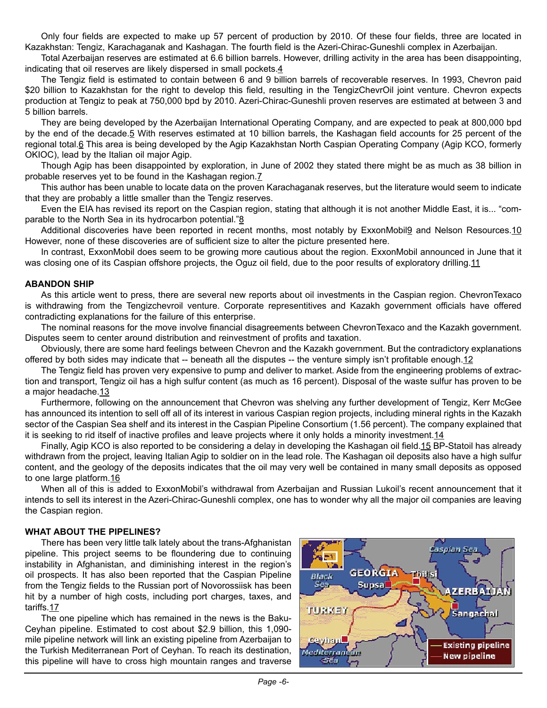Only four fields are expected to make up 57 percent of production by 2010. Of these four fields, three are located in Kazakhstan: Tengiz, Karachaganak and Kashagan. The fourth field is the Azeri-Chirac-Guneshli complex in Azerbaijan.

Total Azerbaijan reserves are estimated at 6.6 billion barrels. However, drilling activity in the area has been disappointing, indicating that oil reserves are likely dispersed in small pockets.4

The Tengiz field is estimated to contain between 6 and 9 billion barrels of recoverable reserves. In 1993, Chevron paid \$20 billion to Kazakhstan for the right to develop this field, resulting in the TengizChevrOil joint venture. Chevron expects production at Tengiz to peak at 750,000 bpd by 2010. Azeri-Chirac-Guneshli proven reserves are estimated at between 3 and 5 billion barrels.

They are being developed by the Azerbaijan International Operating Company, and are expected to peak at 800,000 bpd by the end of the decade.5 With reserves estimated at 10 billion barrels, the Kashagan field accounts for 25 percent of the regional total.6 This area is being developed by the Agip Kazakhstan North Caspian Operating Company (Agip KCO, formerly OKIOC), lead by the Italian oil major Agip.

Though Agip has been disappointed by exploration, in June of 2002 they stated there might be as much as 38 billion in probable reserves yet to be found in the Kashagan region.7

This author has been unable to locate data on the proven Karachaganak reserves, but the literature would seem to indicate that they are probably a little smaller than the Tengiz reserves.

Even the EIA has revised its report on the Caspian region, stating that although it is not another Middle East, it is... "comparable to the North Sea in its hydrocarbon potential."8

Additional discoveries have been reported in recent months, most notably by ExxonMobil9 and Nelson Resources.10 However, none of these discoveries are of sufficient size to alter the picture presented here.

In contrast, ExxonMobil does seem to be growing more cautious about the region. ExxonMobil announced in June that it was closing one of its Caspian offshore projects, the Oguz oil field, due to the poor results of exploratory drilling.11

### **ABANDON SHIP**

As this article went to press, there are several new reports about oil investments in the Caspian region. ChevronTexaco is withdrawing from the Tengizchevroil venture. Corporate representitives and Kazakh government officials have offered contradicting explanations for the failure of this enterprise.

The nominal reasons for the move involve financial disagreements between ChevronTexaco and the Kazakh government. Disputes seem to center around distribution and reinvestment of profits and taxation.

Obviously, there are some hard feelings between Chevron and the Kazakh government. But the contradictory explanations offered by both sides may indicate that -- beneath all the disputes -- the venture simply isn't profitable enough.12

The Tengiz field has proven very expensive to pump and deliver to market. Aside from the engineering problems of extraction and transport, Tengiz oil has a high sulfur content (as much as 16 percent). Disposal of the waste sulfur has proven to be a major headache.13

Furthermore, following on the announcement that Chevron was shelving any further development of Tengiz, Kerr McGee has announced its intention to sell off all of its interest in various Caspian region projects, including mineral rights in the Kazakh sector of the Caspian Sea shelf and its interest in the Caspian Pipeline Consortium (1.56 percent). The company explained that it is seeking to rid itself of inactive profiles and leave projects where it only holds a minority investment. 14

Finally, Agip KCO is also reported to be considering a delay in developing the Kashagan oil field.15 BP-Statoil has already withdrawn from the project, leaving Italian Agip to soldier on in the lead role. The Kashagan oil deposits also have a high sulfur content, and the geology of the deposits indicates that the oil may very well be contained in many small deposits as opposed to one large platform.16

When all of this is added to ExxonMobil's withdrawal from Azerbaijan and Russian Lukoil's recent announcement that it intends to sell its interest in the Azeri-Chirac-Guneshli complex, one has to wonder why all the major oil companies are leaving the Caspian region.

### **WHAT ABOUT THE PIPELINES?**

There has been very little talk lately about the trans-Afghanistan pipeline. This project seems to be floundering due to continuing instability in Afghanistan, and diminishing interest in the region's oil prospects. It has also been reported that the Caspian Pipeline from the Tengiz fields to the Russian port of Novorossiisk has been hit by a number of high costs, including port charges, taxes, and tariffs.17

The one pipeline which has remained in the news is the Baku-Ceyhan pipeline. Estimated to cost about \$2.9 billion, this 1,090 mile pipeline network will link an existing pipeline from Azerbaijan to the Turkish Mediterranean Port of Ceyhan. To reach its destination, this pipeline will have to cross high mountain ranges and traverse

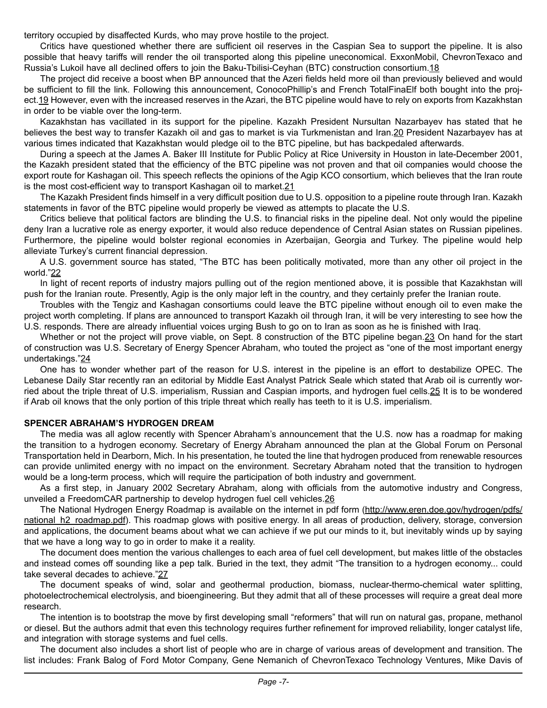territory occupied by disaffected Kurds, who may prove hostile to the project.

Critics have questioned whether there are sufficient oil reserves in the Caspian Sea to support the pipeline. It is also possible that heavy tariffs will render the oil transported along this pipeline uneconomical. ExxonMobil, ChevronTexaco and Russia's Lukoil have all declined offers to join the Baku-Tbilisi-Ceyhan (BTC) construction consortium.18

The project did receive a boost when BP announced that the Azeri fields held more oil than previously believed and would be sufficient to fill the link. Following this announcement, ConocoPhillip's and French TotalFinaElf both bought into the project.19 However, even with the increased reserves in the Azari, the BTC pipeline would have to rely on exports from Kazakhstan in order to be viable over the long-term.

Kazakhstan has vacillated in its support for the pipeline. Kazakh President Nursultan Nazarbayev has stated that he believes the best way to transfer Kazakh oil and gas to market is via Turkmenistan and Iran.20 President Nazarbayev has at various times indicated that Kazakhstan would pledge oil to the BTC pipeline, but has backpedaled afterwards.

During a speech at the James A. Baker III Institute for Public Policy at Rice University in Houston in late-December 2001, the Kazakh president stated that the efficiency of the BTC pipeline was not proven and that oil companies would choose the export route for Kashagan oil. This speech reflects the opinions of the Agip KCO consortium, which believes that the Iran route is the most cost-efficient way to transport Kashagan oil to market.<sup>21</sup>

The Kazakh President finds himself in a very difficult position due to U.S. opposition to a pipeline route through Iran. Kazakh statements in favor of the BTC pipeline would properly be viewed as attempts to placate the U.S.

Critics believe that political factors are blinding the U.S. to financial risks in the pipeline deal. Not only would the pipeline deny Iran a lucrative role as energy exporter, it would also reduce dependence of Central Asian states on Russian pipelines. Furthermore, the pipeline would bolster regional economies in Azerbaijan, Georgia and Turkey. The pipeline would help alleviate Turkey's current financial depression.

A U.S. government source has stated, "The BTC has been politically motivated, more than any other oil project in the world."22

In light of recent reports of industry majors pulling out of the region mentioned above, it is possible that Kazakhstan will push for the Iranian route. Presently, Agip is the only major left in the country, and they certainly prefer the Iranian route.

Troubles with the Tengiz and Kashagan consortiums could leave the BTC pipeline without enough oil to even make the project worth completing. If plans are announced to transport Kazakh oil through Iran, it will be very interesting to see how the U.S. responds. There are already influential voices urging Bush to go on to Iran as soon as he is finished with Iraq.

Whether or not the project will prove viable, on Sept. 8 construction of the BTC pipeline began.23 On hand for the start of construction was U.S. Secretary of Energy Spencer Abraham, who touted the project as "one of the most important energy undertakings."24

One has to wonder whether part of the reason for U.S. interest in the pipeline is an effort to destabilize OPEC. The Lebanese Daily Star recently ran an editorial by Middle East Analyst Patrick Seale which stated that Arab oil is currently worried about the triple threat of U.S. imperialism, Russian and Caspian imports, and hydrogen fuel cells.25 It is to be wondered if Arab oil knows that the only portion of this triple threat which really has teeth to it is U.S. imperialism.

### **SPENCER ABRAHAM'S HYDROGEN DREAM**

The media was all aglow recently with Spencer Abraham's announcement that the U.S. now has a roadmap for making the transition to a hydrogen economy. Secretary of Energy Abraham announced the plan at the Global Forum on Personal Transportation held in Dearborn, Mich. In his presentation, he touted the line that hydrogen produced from renewable resources can provide unlimited energy with no impact on the environment. Secretary Abraham noted that the transition to hydrogen would be a long-term process, which will require the participation of both industry and government.

As a first step, in January 2002 Secretary Abraham, along with officials from the automotive industry and Congress, unveiled a FreedomCAR partnership to develop hydrogen fuel cell vehicles.26

The National Hydrogen Energy Roadmap is available on the internet in pdf form ([http://www.eren.doe.gov/hydrogen/pdfs/](http://www.eren.doe.gov/hydrogen/pdfs/national_h2_roadmap.pdf) national h2\_roadmap.pdf). This roadmap glows with positive energy. In all areas of production, delivery, storage, conversion and applications, the document beams about what we can achieve if we put our minds to it, but inevitably winds up by saying that we have a long way to go in order to make it a reality.

The document does mention the various challenges to each area of fuel cell development, but makes little of the obstacles and instead comes off sounding like a pep talk. Buried in the text, they admit "The transition to a hydrogen economy... could take several decades to achieve."27

The document speaks of wind, solar and geothermal production, biomass, nuclear-thermo-chemical water splitting, photoelectrochemical electrolysis, and bioengineering. But they admit that all of these processes will require a great deal more research.

The intention is to bootstrap the move by first developing small "reformers" that will run on natural gas, propane, methanol or diesel. But the authors admit that even this technology requires further refinement for improved reliability, longer catalyst life, and integration with storage systems and fuel cells.

The document also includes a short list of people who are in charge of various areas of development and transition. The list includes: Frank Balog of Ford Motor Company, Gene Nemanich of ChevronTexaco Technology Ventures, Mike Davis of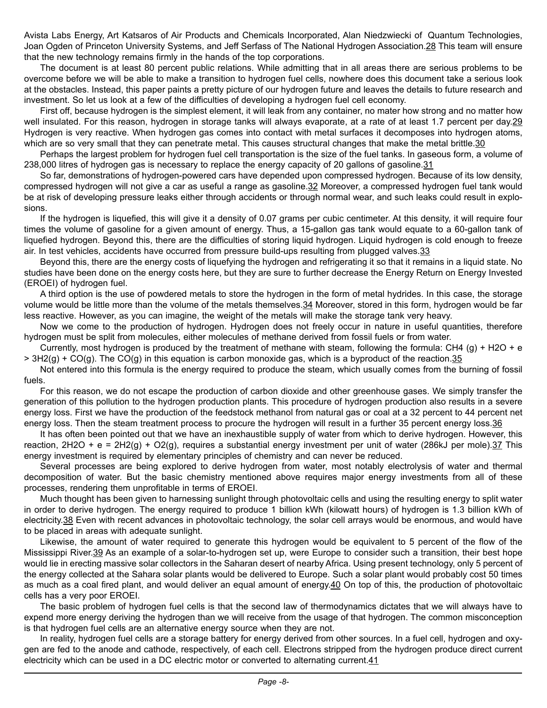Avista Labs Energy, Art Katsaros of Air Products and Chemicals Incorporated, Alan Niedzwiecki of Quantum Technologies, Joan Ogden of Princeton University Systems, and Jeff Serfass of The National Hydrogen Association.28 This team will ensure that the new technology remains firmly in the hands of the top corporations.

The document is at least 80 percent public relations. While admitting that in all areas there are serious problems to be overcome before we will be able to make a transition to hydrogen fuel cells, nowhere does this document take a serious look at the obstacles. Instead, this paper paints a pretty picture of our hydrogen future and leaves the details to future research and investment. So let us look at a few of the difficulties of developing a hydrogen fuel cell economy.

First off, because hydrogen is the simplest element, it will leak from any container, no mater how strong and no matter how well insulated. For this reason, hydrogen in storage tanks will always evaporate, at a rate of at least 1.7 percent per day.29 Hydrogen is very reactive. When hydrogen gas comes into contact with metal surfaces it decomposes into hydrogen atoms, which are so very small that they can penetrate metal. This causes structural changes that make the metal brittle.30

Perhaps the largest problem for hydrogen fuel cell transportation is the size of the fuel tanks. In gaseous form, a volume of 238,000 litres of hydrogen gas is necessary to replace the energy capacity of 20 gallons of gasoline.31

So far, demonstrations of hydrogen-powered cars have depended upon compressed hydrogen. Because of its low density, compressed hydrogen will not give a car as useful a range as gasoline.32 Moreover, a compressed hydrogen fuel tank would be at risk of developing pressure leaks either through accidents or through normal wear, and such leaks could result in explosions.

If the hydrogen is liquefied, this will give it a density of 0.07 grams per cubic centimeter. At this density, it will require four times the volume of gasoline for a given amount of energy. Thus, a 15-gallon gas tank would equate to a 60-gallon tank of liquefied hydrogen. Beyond this, there are the difficulties of storing liquid hydrogen. Liquid hydrogen is cold enough to freeze air. In test vehicles, accidents have occurred from pressure build-ups resulting from plugged valves. 33

Beyond this, there are the energy costs of liquefying the hydrogen and refrigerating it so that it remains in a liquid state. No studies have been done on the energy costs here, but they are sure to further decrease the Energy Return on Energy Invested (EROEI) of hydrogen fuel.

A third option is the use of powdered metals to store the hydrogen in the form of metal hydrides. In this case, the storage volume would be little more than the volume of the metals themselves. 34 Moreover, stored in this form, hydrogen would be far less reactive. However, as you can imagine, the weight of the metals will make the storage tank very heavy.

Now we come to the production of hydrogen. Hydrogen does not freely occur in nature in useful quantities, therefore hydrogen must be split from molecules, either molecules of methane derived from fossil fuels or from water.

Currently, most hydrogen is produced by the treatment of methane with steam, following the formula: CH4 (g) + H2O + e  $> 3H2(g) + CO(g)$ . The CO(g) in this equation is carbon monoxide gas, which is a byproduct of the reaction. 35

Not entered into this formula is the energy required to produce the steam, which usually comes from the burning of fossil fuels.

For this reason, we do not escape the production of carbon dioxide and other greenhouse gases. We simply transfer the generation of this pollution to the hydrogen production plants. This procedure of hydrogen production also results in a severe energy loss. First we have the production of the feedstock methanol from natural gas or coal at a 32 percent to 44 percent net energy loss. Then the steam treatment process to procure the hydrogen will result in a further 35 percent energy loss.36

It has often been pointed out that we have an inexhaustible supply of water from which to derive hydrogen. However, this reaction,  $2H2O + e = 2H2(g) + O2(g)$ , requires a substantial energy investment per unit of water (286kJ per mole). $37$  This energy investment is required by elementary principles of chemistry and can never be reduced.

Several processes are being explored to derive hydrogen from water, most notably electrolysis of water and thermal decomposition of water. But the basic chemistry mentioned above requires major energy investments from all of these processes, rendering them unprofitable in terms of EROEI.

Much thought has been given to harnessing sunlight through photovoltaic cells and using the resulting energy to split water in order to derive hydrogen. The energy required to produce 1 billion kWh (kilowatt hours) of hydrogen is 1.3 billion kWh of electricity.38 Even with recent advances in photovoltaic technology, the solar cell arrays would be enormous, and would have to be placed in areas with adequate sunlight.

Likewise, the amount of water required to generate this hydrogen would be equivalent to 5 percent of the flow of the Mississippi River.39 As an example of a solar-to-hydrogen set up, were Europe to consider such a transition, their best hope would lie in erecting massive solar collectors in the Saharan desert of nearby Africa. Using present technology, only 5 percent of the energy collected at the Sahara solar plants would be delivered to Europe. Such a solar plant would probably cost 50 times as much as a coal fired plant, and would deliver an equal amount of energy.40 On top of this, the production of photovoltaic cells has a very poor EROEI.

The basic problem of hydrogen fuel cells is that the second law of thermodynamics dictates that we will always have to expend more energy deriving the hydrogen than we will receive from the usage of that hydrogen. The common misconception is that hydrogen fuel cells are an alternative energy source when they are not.

In reality, hydrogen fuel cells are a storage battery for energy derived from other sources. In a fuel cell, hydrogen and oxygen are fed to the anode and cathode, respectively, of each cell. Electrons stripped from the hydrogen produce direct current electricity which can be used in a DC electric motor or converted to alternating current.41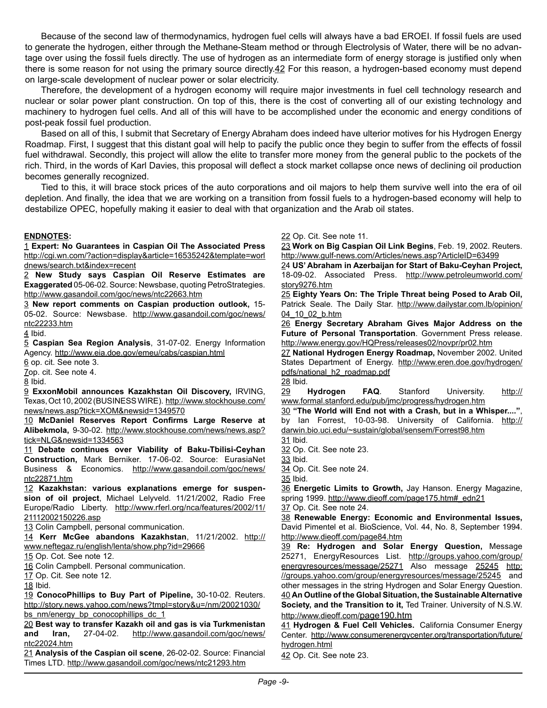Because of the second law of thermodynamics, hydrogen fuel cells will always have a bad EROEI. If fossil fuels are used to generate the hydrogen, either through the Methane-Steam method or through Electrolysis of Water, there will be no advantage over using the fossil fuels directly. The use of hydrogen as an intermediate form of energy storage is justified only when there is some reason for not using the primary source directly.42 For this reason, a hydrogen-based economy must depend on large-scale development of nuclear power or solar electricity.

Therefore, the development of a hydrogen economy will require major investments in fuel cell technology research and nuclear or solar power plant construction. On top of this, there is the cost of converting all of our existing technology and machinery to hydrogen fuel cells. And all of this will have to be accomplished under the economic and energy conditions of post-peak fossil fuel production.

Based on all of this, I submit that Secretary of Energy Abraham does indeed have ulterior motives for his Hydrogen Energy Roadmap. First, I suggest that this distant goal will help to pacify the public once they begin to suffer from the effects of fossil fuel withdrawal. Secondly, this project will allow the elite to transfer more money from the general public to the pockets of the rich. Third, in the words of Karl Davies, this proposal will deflect a stock market collapse once news of declining oil production becomes generally recognized.

Tied to this, it will brace stock prices of the auto corporations and oil majors to help them survive well into the era of oil depletion. And finally, the idea that we are working on a transition from fossil fuels to a hydrogen-based economy will help to destabilize OPEC, hopefully making it easier to deal with that organization and the Arab oil states.

#### **ENDNOTES:**

1 **Expert: No Guarantees in Caspian Oil The Associated Press** [http://cgi.wn.com/?action=display&article=16535242&template=worl](http://cgi.wn.com/?action=display&article=16535242&template=worldnews/search.txt&index=recent) [dnews/search.txt&index=recent](http://cgi.wn.com/?action=display&article=16535242&template=worldnews/search.txt&index=recent)

2 **New Study says Caspian Oil Reserve Estimates are Exaggerated** 05-06-02. Source: Newsbase, quoting PetroStrategies. <http://www.gasandoil.com/goc/news/ntc22663.htm>

3 **New report comments on Caspian production outlook,** 15- 05-02. Source: Newsbase. [http://www.gasandoil.com/goc/news/](http://www.gasandoil.com/goc/news/ntc22233.htm) [ntc22233.htm](http://www.gasandoil.com/goc/news/ntc22233.htm)

4 Ibid.

5 **Caspian Sea Region Analysis**, 31-07-02. Energy Information Agency. <http://www.eia.doe.gov/emeu/cabs/caspian.html>

6 op. cit. See note 3.

7op. cit. See note 4.

8 Ibid.

9 **ExxonMobil announces Kazakhstan Oil Discovery,** IRVING, Texas, Oct 10, 2002 (BUSINESS WIRE). [http://www.stockhouse.com/](http://www.stockhouse.com/news/news.asp?tick=XOM&newsid=1349570) [news/news.asp?tick=XOM&newsid=1349570](http://www.stockhouse.com/news/news.asp?tick=XOM&newsid=1349570)

10 **McDaniel Reserves Report Confirms Large Reserve at Alibekmola,** 9-30-02. [http://www.stockhouse.com/news/news.asp?](http://www.stockhouse.com/news/news.asp?tick=NLG&newsid=1334563) [tick=NLG&newsid=1334563](http://www.stockhouse.com/news/news.asp?tick=NLG&newsid=1334563)

11 **Debate continues over Viability of Baku-Tbilisi-Ceyhan Construction,** Mark Berniker. 17-06-02. Source: EurasiaNet Business & Economics. [http://www.gasandoil.com/goc/news/](http://www.gasandoil.com/goc/news/ntc22871.htm) [ntc22871.htm](http://www.gasandoil.com/goc/news/ntc22871.htm)

12 **Kazakhstan: various explanations emerge for suspension of oil project**, Michael Lelyveld. 11/21/2002, Radio Free Europe/Radio Liberty. [http://www.rferl.org/nca/features/2002/11/](http://www.rferl.org/nca/features/2002/11/21112002150226.asp) [21112002150226.asp](http://www.rferl.org/nca/features/2002/11/21112002150226.asp)

13 Colin Campbell, personal communication.

14 **Kerr McGee abandons Kazakhstan**, 11/21/2002. [http://](http://www.neftegaz.ru/english/lenta/show.php?id=29666) [www.neftegaz.ru/english/lenta/show.php?id=29666](http://www.neftegaz.ru/english/lenta/show.php?id=29666)

15 Op. Cot. See note 12.

16 Colin Campbell. Personal communication.

17 Op. Cit. See note 12.

18 Ibid.

19 **ConocoPhillips to Buy Part of Pipeline,** 30-10-02. Reuters. [http://story.news.yahoo.com/news?tmpl=story&u=/nm/20021030/](http://story.news.yahoo.com/news?tmpl=story&u=/nm/20021030/bs_nm/energy_bp_conocophillips_dc_1) [bs\\_nm/energy\\_bp\\_conocophillips\\_dc\\_1](http://story.news.yahoo.com/news?tmpl=story&u=/nm/20021030/bs_nm/energy_bp_conocophillips_dc_1)

20 **Best way to transfer Kazakh oil and gas is via Turkmenistan and Iran,** 27-04-02. [http://www.gasandoil.com/goc/news/](http://www.gasandoil.com/goc/news/ntc22024.htm) [ntc22024.htm](http://www.gasandoil.com/goc/news/ntc22024.htm)

21 **Analysis of the Caspian oil scene**, 26-02-02. Source: Financial Times LTD. <http://www.gasandoil.com/goc/news/ntc21293.htm>

22 Op. Cit. See note 11.

23 **Work on Big Caspian Oil Link Begins**, Feb. 19, 2002. Reuters. <http://www.gulf-news.com/Articles/news.asp?ArticleID=63499>

24 **US' Abraham in Azerbaijan for Start of Baku-Ceyhan Project,**  18-09-02. Associated Press. [http://www.petroleumworld.com/](http://www.petroleumworld.com/story9276.htm) [story9276.htm](http://www.petroleumworld.com/story9276.htm)

25 **Eighty Years On: The Triple Threat being Posed to Arab Oil,** Patrick Seale. The Daily Star. [http://www.dailystar.com.lb/opinion/](http://www.dailystar.com.lb/opinion/04_10_02_b.htm) [04\\_10\\_02\\_b.htm](http://www.dailystar.com.lb/opinion/04_10_02_b.htm)

26 **Energy Secretary Abraham Gives Major Address on the Future of Personal Transportation**. Government Press release. <http://www.energy.gov/HQPress/releases02/novpr/pr02.htm>

27 **National Hydrogen Energy Roadmap,** November 2002. United States Department of Energy. [http://www.eren.doe.gov/hydrogen/](http://www.eren.doe.gov/hydrogen/pdfs/national_h2_roadmap.pdf) [pdfs/national\\_h2\\_roadmap.pdf](http://www.eren.doe.gov/hydrogen/pdfs/national_h2_roadmap.pdf) 28 Ibid.

29 **Hydrogen FAQ**. Stanford University. [http://](http://www.formal.stanford.edu/pub/jmc/progress/hydrogen.htm) [www.formal.stanford.edu/pub/jmc/progress/hydrogen.htm](http://www.formal.stanford.edu/pub/jmc/progress/hydrogen.htm)

30 **"The World will End not with a Crash, but in a Whisper...."**, by Ian Forrest, 10-03-98. University of California. [http://](http://darwin.bio.uci.edu/%7Esustain/global/sensem/Forrest98.htm) [darwin.bio.uci.edu/~sustain/global/sensem/Forrest98.htm](http://darwin.bio.uci.edu/%7Esustain/global/sensem/Forrest98.htm)

31 Ibid.

32 Op. Cit. See note 23.

33 Ibid.

34 Op. Cit. See note 24. 35 Ibid.

36 **Energetic Limits to Growth,** Jay Hanson. Energy Magazine, spring 1999. http://www.dieoff.com/page175.htm#\_edn21

37 Op. Cit. See note 24.

38 **Renewable Energy: Economic and Environmental Issues,** David Pimentel et al. BioScience, Vol. 44, No. 8, September 1994. <http://www.dieoff.com/page84.htm>

39 **Re: Hydrogen and Solar Energy Question,** Message 25271, EnergyResources List. [http://groups.yahoo.com/group/](http://groups.yahoo.com/group/energyresources/message/25271) [energyresources/message/25271](http://groups.yahoo.com/group/energyresources/message/25271) Also message [25245](http://groups.yahoo.com/group/energyresources/message/25245) [http:](http://groups.yahoo.com/group/energyresources/message/25245) [//groups.yahoo.com/group/energyresources/message/25245](http://groups.yahoo.com/group/energyresources/message/25245) and other messages in the string Hydrogen and Solar Energy Question. 40 **An Outline of the Global Situation, the Sustainable Alternative Society, and the Transition to it,** Ted Trainer. University of N.S.W. <http://www.dieoff.com/page190.htm>

41 **Hydrogen & Fuel Cell Vehicles.** California Consumer Energy Center. [http://www.consumerenergycenter.org/transportation/future/](http://www.consumerenergycenter.org/transportation/future/hydrogen.html) [hydrogen.html](http://www.consumerenergycenter.org/transportation/future/hydrogen.html)

42 Op. Cit. See note 23.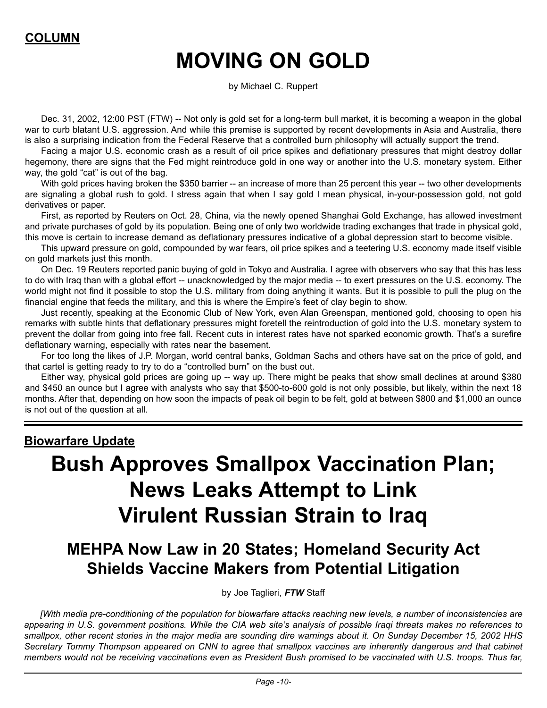### **COLUMN**

### **MOVING ON GOLD**

by Michael C. Ruppert

Dec. 31, 2002, 12:00 PST (FTW) -- Not only is gold set for a long-term bull market, it is becoming a weapon in the global war to curb blatant U.S. aggression. And while this premise is supported by recent developments in Asia and Australia, there is also a surprising indication from the Federal Reserve that a controlled burn philosophy will actually support the trend.

Facing a major U.S. economic crash as a result of oil price spikes and deflationary pressures that might destroy dollar hegemony, there are signs that the Fed might reintroduce gold in one way or another into the U.S. monetary system. Either way, the gold "cat" is out of the bag.

With gold prices having broken the \$350 barrier -- an increase of more than 25 percent this year -- two other developments are signaling a global rush to gold. I stress again that when I say gold I mean physical, in-your-possession gold, not gold derivatives or paper.

First, as reported by Reuters on Oct. 28, China, via the newly opened Shanghai Gold Exchange, has allowed investment and private purchases of gold by its population. Being one of only two worldwide trading exchanges that trade in physical gold, this move is certain to increase demand as deflationary pressures indicative of a global depression start to become visible.

This upward pressure on gold, compounded by war fears, oil price spikes and a teetering U.S. economy made itself visible on gold markets just this month.

On Dec. 19 Reuters reported panic buying of gold in Tokyo and Australia. I agree with observers who say that this has less to do with Iraq than with a global effort -- unacknowledged by the major media -- to exert pressures on the U.S. economy. The world might not find it possible to stop the U.S. military from doing anything it wants. But it is possible to pull the plug on the financial engine that feeds the military, and this is where the Empire's feet of clay begin to show.

Just recently, speaking at the Economic Club of New York, even Alan Greenspan, mentioned gold, choosing to open his remarks with subtle hints that deflationary pressures might foretell the reintroduction of gold into the U.S. monetary system to prevent the dollar from going into free fall. Recent cuts in interest rates have not sparked economic growth. That's a surefire deflationary warning, especially with rates near the basement.

For too long the likes of J.P. Morgan, world central banks, Goldman Sachs and others have sat on the price of gold, and that cartel is getting ready to try to do a "controlled burn" on the bust out.

Either way, physical gold prices are going up -- way up. There might be peaks that show small declines at around \$380 and \$450 an ounce but I agree with analysts who say that \$500-to-600 gold is not only possible, but likely, within the next 18 months. After that, depending on how soon the impacts of peak oil begin to be felt, gold at between \$800 and \$1,000 an ounce is not out of the question at all.

### **Biowarfare Update Bush Approves Smallpox Vaccination Plan; News Leaks Attempt to Link Virulent Russian Strain to Iraq**

### **MEHPA Now Law in 20 States; Homeland Security Act Shields Vaccine Makers from Potential Litigation**

by Joe Taglieri, *FTW* Staff

*[With media pre-conditioning of the population for biowarfare attacks reaching new levels, a number of inconsistencies are appearing in U.S. government positions. While the CIA web site's analysis of possible Iraqi threats makes no references to smallpox, other recent stories in the major media are sounding dire warnings about it. On Sunday December 15, 2002 HHS Secretary Tommy Thompson appeared on CNN to agree that smallpox vaccines are inherently dangerous and that cabinet members would not be receiving vaccinations even as President Bush promised to be vaccinated with U.S. troops. Thus far,*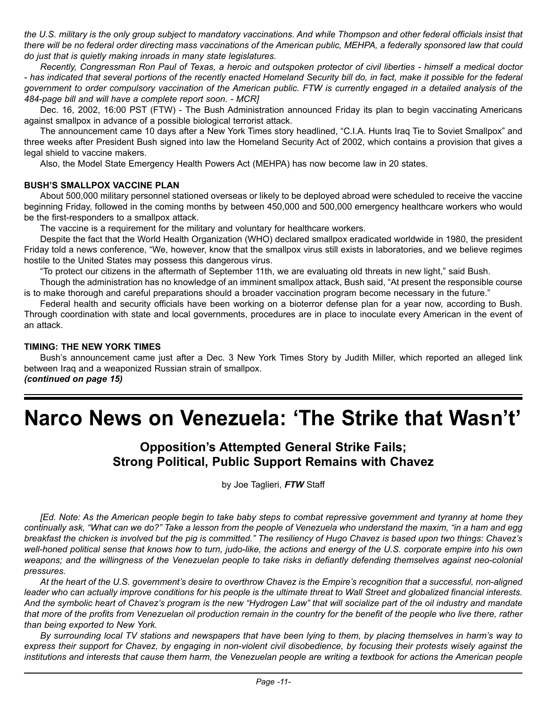*the U.S. military is the only group subject to mandatory vaccinations. And while Thompson and other federal officials insist that there will be no federal order directing mass vaccinations of the American public, MEHPA, a federally sponsored law that could do just that is quietly making inroads in many state legislatures.*

*Recently, Congressman Ron Paul of Texas, a heroic and outspoken protector of civil liberties - himself a medical doctor - has indicated that several portions of the recently enacted Homeland Security bill do, in fact, make it possible for the federal government to order compulsory vaccination of the American public. FTW is currently engaged in a detailed analysis of the 484-page bill and will have a complete report soon. - MCR]* 

Dec. 16, 2002, 16:00 PST (FTW) - The Bush Administration announced Friday its plan to begin vaccinating Americans against smallpox in advance of a possible biological terrorist attack.

The announcement came 10 days after a New York Times story headlined, "C.I.A. Hunts Iraq Tie to Soviet Smallpox" and three weeks after President Bush signed into law the Homeland Security Act of 2002, which contains a provision that gives a legal shield to vaccine makers.

Also, the Model State Emergency Health Powers Act (MEHPA) has now become law in 20 states.

### **BUSH'S SMALLPOX VACCINE PLAN**

About 500,000 military personnel stationed overseas or likely to be deployed abroad were scheduled to receive the vaccine beginning Friday, followed in the coming months by between 450,000 and 500,000 emergency healthcare workers who would be the first-responders to a smallpox attack.

The vaccine is a requirement for the military and voluntary for healthcare workers.

Despite the fact that the World Health Organization (WHO) declared smallpox eradicated worldwide in 1980, the president Friday told a news conference, "We, however, know that the smallpox virus still exists in laboratories, and we believe regimes hostile to the United States may possess this dangerous virus.

"To protect our citizens in the aftermath of September 11th, we are evaluating old threats in new light," said Bush.

Though the administration has no knowledge of an imminent smallpox attack, Bush said, "At present the responsible course is to make thorough and careful preparations should a broader vaccination program become necessary in the future."

Federal health and security officials have been working on a bioterror defense plan for a year now, according to Bush. Through coordination with state and local governments, procedures are in place to inoculate every American in the event of an attack.

### **TIMING: THE NEW YORK TIMES**

Bush's announcement came just after a Dec. 3 New York Times Story by Judith Miller, which reported an alleged link between Iraq and a weaponized Russian strain of smallpox. *(continued on page 15)*

### **Narco News on Venezuela: 'The Strike that Wasn't'**

### **Opposition's Attempted General Strike Fails; Strong Political, Public Support Remains with Chavez**

by Joe Taglieri, *FTW* Staff

*[Ed. Note: As the American people begin to take baby steps to combat repressive government and tyranny at home they continually ask, "What can we do?" Take a lesson from the people of Venezuela who understand the maxim, "in a ham and egg breakfast the chicken is involved but the pig is committed." The resiliency of Hugo Chavez is based upon two things: Chavez's well-honed political sense that knows how to turn, judo-like, the actions and energy of the U.S. corporate empire into his own weapons; and the willingness of the Venezuelan people to take risks in defiantly defending themselves against neo-colonial pressures.*

*At the heart of the U.S. government's desire to overthrow Chavez is the Empire's recognition that a successful, non-aligned leader who can actually improve conditions for his people is the ultimate threat to Wall Street and globalized financial interests. And the symbolic heart of Chavez's program is the new "Hydrogen Law" that will socialize part of the oil industry and mandate that more of the profits from Venezuelan oil production remain in the country for the benefit of the people who live there, rather than being exported to New York.*

*By surrounding local TV stations and newspapers that have been lying to them, by placing themselves in harm's way to express their support for Chavez, by engaging in non-violent civil disobedience, by focusing their protests wisely against the institutions and interests that cause them harm, the Venezuelan people are writing a textbook for actions the American people*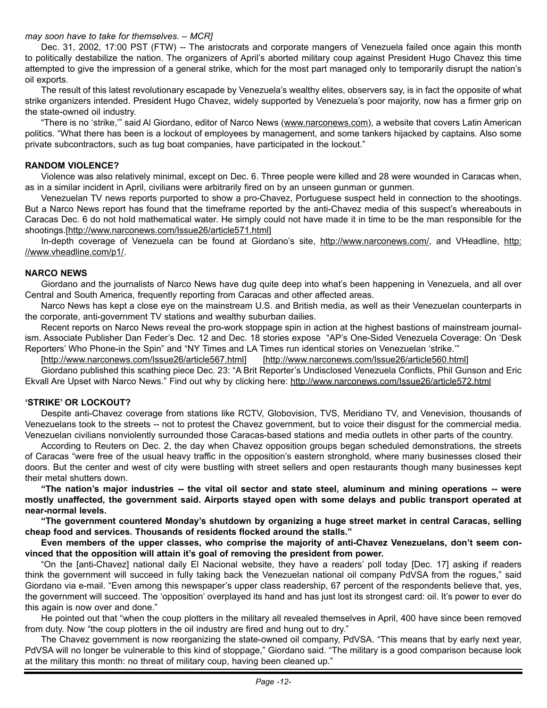### *may soon have to take for themselves. – MCR]*

Dec. 31, 2002, 17:00 PST (FTW) -- The aristocrats and corporate mangers of Venezuela failed once again this month to politically destabilize the nation. The organizers of April's aborted military coup against President Hugo Chavez this time attempted to give the impression of a general strike, which for the most part managed only to temporarily disrupt the nation's oil exports.

The result of this latest revolutionary escapade by Venezuela's wealthy elites, observers say, is in fact the opposite of what strike organizers intended. President Hugo Chavez, widely supported by Venezuela's poor majority, now has a firmer grip on the state-owned oil industry.

"There is no 'strike," said Al Giordano, editor of Narco News [\(www.narconews.com](www.narconews.com)), a website that covers Latin American politics. "What there has been is a lockout of employees by management, and some tankers hijacked by captains. Also some private subcontractors, such as tug boat companies, have participated in the lockout."

#### **RANDOM VIOLENCE?**

Violence was also relatively minimal, except on Dec. 6. Three people were killed and 28 were wounded in Caracas when, as in a similar incident in April, civilians were arbitrarily fired on by an unseen gunman or gunmen.

Venezuelan TV news reports purported to show a pro-Chavez, Portuguese suspect held in connection to the shootings. But a Narco News report has found that the timeframe reported by the anti-Chavez media of this suspect's whereabouts in Caracas Dec. 6 do not hold mathematical water. He simply could not have made it in time to be the man responsible for the shootings.[\[http://www.narconews.com/Issue26/article571.html\]](http://www.narconews.com/Issue26/article571.html)

In-depth coverage of Venezuela can be found at Giordano's site, <http://www.narconews.com/>, and VHeadline, [http:](http://www.vheadline.com/p1/) [//www.vheadline.com/p1/.](http://www.vheadline.com/p1/)

### **NARCO NEWS**

Giordano and the journalists of Narco News have dug quite deep into what's been happening in Venezuela, and all over Central and South America, frequently reporting from Caracas and other affected areas.

Narco News has kept a close eye on the mainstream U.S. and British media, as well as their Venezuelan counterparts in the corporate, anti-government TV stations and wealthy suburban dailies.

Recent reports on Narco News reveal the pro-work stoppage spin in action at the highest bastions of mainstream journalism. Associate Publisher Dan Feder's Dec. 12 and Dec. 18 stories expose "AP's One-Sided Venezuela Coverage: On 'Desk Reporters' Who Phone-in the Spin" and "NY Times and LA Times run identical stories on Venezuelan 'strike.'"

[<http://www.narconews.com/Issue26/article567.html>] [\[http://www.narconews.com/Issue26/article560.html\]](http://www.narconews.com/Issue26/article560.html)

Giordano published this scathing piece Dec. 23: "A Brit Reporter's Undisclosed Venezuela Conflicts, Phil Gunson and Eric Ekvall Are Upset with Narco News." Find out why by clicking here:<http://www.narconews.com/Issue26/article572.html>

#### **'STRIKE' OR LOCKOUT?**

Despite anti-Chavez coverage from stations like RCTV, Globovision, TVS, Meridiano TV, and Venevision, thousands of Venezuelans took to the streets -- not to protest the Chavez government, but to voice their disgust for the commercial media. Venezuelan civilians nonviolently surrounded those Caracas-based stations and media outlets in other parts of the country.

According to Reuters on Dec. 2, the day when Chavez opposition groups began scheduled demonstrations, the streets of Caracas "were free of the usual heavy traffic in the opposition's eastern stronghold, where many businesses closed their doors. But the center and west of city were bustling with street sellers and open restaurants though many businesses kept their metal shutters down.

**"The nation's major industries -- the vital oil sector and state steel, aluminum and mining operations -- were mostly unaffected, the government said. Airports stayed open with some delays and public transport operated at near-normal levels.**

**"The government countered Monday's shutdown by organizing a huge street market in central Caracas, selling cheap food and services. Thousands of residents flocked around the stalls."**

**Even members of the upper classes, who comprise the majority of anti-Chavez Venezuelans, don't seem convinced that the opposition will attain it's goal of removing the president from power.** 

"On the [anti-Chavez] national daily El Nacional website, they have a readers' poll today [Dec. 17] asking if readers think the government will succeed in fully taking back the Venezuelan national oil company PdVSA from the rogues," said Giordano via e-mail. "Even among this newspaper's upper class readership, 67 percent of the respondents believe that, yes, the government will succeed. The 'opposition' overplayed its hand and has just lost its strongest card: oil. It's power to ever do this again is now over and done."

He pointed out that "when the coup plotters in the military all revealed themselves in April, 400 have since been removed from duty. Now "the coup plotters in the oil industry are fired and hung out to dry."

The Chavez government is now reorganizing the state-owned oil company, PdVSA. "This means that by early next year, PdVSA will no longer be vulnerable to this kind of stoppage," Giordano said. "The military is a good comparison because look at the military this month: no threat of military coup, having been cleaned up."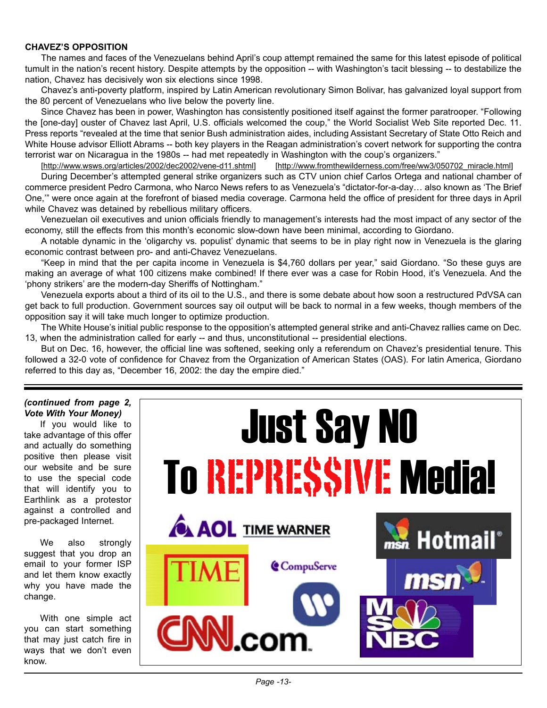### **CHAVEZ'S OPPOSITION**

The names and faces of the Venezuelans behind April's coup attempt remained the same for this latest episode of political tumult in the nation's recent history. Despite attempts by the opposition -- with Washington's tacit blessing -- to destabilize the nation, Chavez has decisively won six elections since 1998.

Chavez's anti-poverty platform, inspired by Latin American revolutionary Simon Bolivar, has galvanized loyal support from the 80 percent of Venezuelans who live below the poverty line.

Since Chavez has been in power, Washington has consistently positioned itself against the former paratrooper. "Following the [one-day] ouster of Chavez last April, U.S. officials welcomed the coup," the World Socialist Web Site reported Dec. 11. Press reports "revealed at the time that senior Bush administration aides, including Assistant Secretary of State Otto Reich and White House advisor Elliott Abrams -- both key players in the Reagan administration's covert network for supporting the contra terrorist war on Nicaragua in the 1980s -- had met repeatedly in Washington with the coup's organizers."

[[http://www.wsws.org/articles/2002/dec2002/vene-d11.shtml\]](http://www.wsws.org/articles/2002/dec2002/vene-d11.shtml) [[http://www.fromthewilderness.com/free/ww3/050702\\_miracle.html](http://www.fromthewilderness.com/free/ww3/050702_miracle.html)]

During December's attempted general strike organizers such as CTV union chief Carlos Ortega and national chamber of commerce president Pedro Carmona, who Narco News refers to as Venezuela's "dictator-for-a-day… also known as 'The Brief One,'" were once again at the forefront of biased media coverage. Carmona held the office of president for three days in April while Chavez was detained by rebellious military officers.

Venezuelan oil executives and union officials friendly to management's interests had the most impact of any sector of the economy, still the effects from this month's economic slow-down have been minimal, according to Giordano.

A notable dynamic in the 'oligarchy vs. populist' dynamic that seems to be in play right now in Venezuela is the glaring economic contrast between pro- and anti-Chavez Venezuelans.

"Keep in mind that the per capita income in Venezuela is \$4,760 dollars per year," said Giordano. "So these guys are making an average of what 100 citizens make combined! If there ever was a case for Robin Hood, it's Venezuela. And the 'phony strikers' are the modern-day Sheriffs of Nottingham."

Venezuela exports about a third of its oil to the U.S., and there is some debate about how soon a restructured PdVSA can get back to full production. Government sources say oil output will be back to normal in a few weeks, though members of the opposition say it will take much longer to optimize production.

The White House's initial public response to the opposition's attempted general strike and anti-Chavez rallies came on Dec. 13, when the administration called for early -- and thus, unconstitutional -- presidential elections.

But on Dec. 16, however, the official line was softened, seeking only a referendum on Chavez's presidential tenure. This followed a 32-0 vote of confidence for Chavez from the Organization of American States (OAS). For latin America, Giordano referred to this day as, "December 16, 2002: the day the empire died."

#### *(continued from page 2, Vote With Your Money)*

If you would like to take advantage of this offer and actually do something positive then please visit our website and be sure to use the special code that will identify you to Earthlink as a protestor against a controlled and pre-packaged Internet.

We also strongly suggest that you drop an email to your former ISP and let them know exactly why you have made the change.

With one simple act you can start something that may just catch fire in ways that we don't even know.

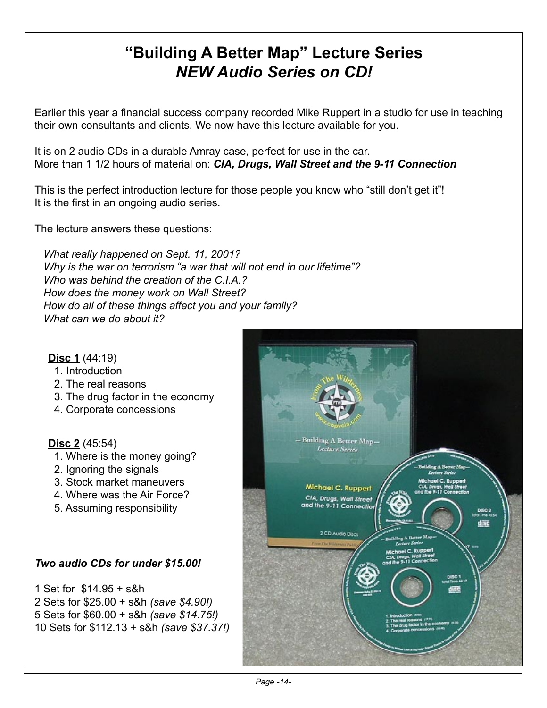### **"Building A Better Map" Lecture Series** *NEW Audio Series on CD!*

Earlier this year a financial success company recorded Mike Ruppert in a studio for use in teaching their own consultants and clients. We now have this lecture available for you.

It is on 2 audio CDs in a durable Amray case, perfect for use in the car. More than 1 1/2 hours of material on: *CIA, Drugs, Wall Street and the 9-11 Connection*

This is the perfect introduction lecture for those people you know who "still don't get it"! It is the first in an ongoing audio series.

The lecture answers these questions:

 *What really happened on Sept. 11, 2001? Why is the war on terrorism "a war that will not end in our lifetime"? Who was behind the creation of the C.I.A.? How does the money work on Wall Street? How do all of these things affect you and your family? What can we do about it?*

### **Disc 1** (44:19)

- 1. Introduction
- 2. The real reasons
- 3. The drug factor in the economy
- 4. Corporate concessions

### **Disc 2** (45:54)

- 1. Where is the money going?
- 2. Ignoring the signals
- 3. Stock market maneuvers
- 4. Where was the Air Force?
- 5. Assuming responsibility

### *Two audio CDs for under \$15.00!*

1 Set for \$14.95 + s&h 2 Sets for \$25.00 + s&h *(save \$4.90!)* 5 Sets for \$60.00 + s&h *(save \$14.75!)* 10 Sets for \$112.13 + s&h *(save \$37.37!)*

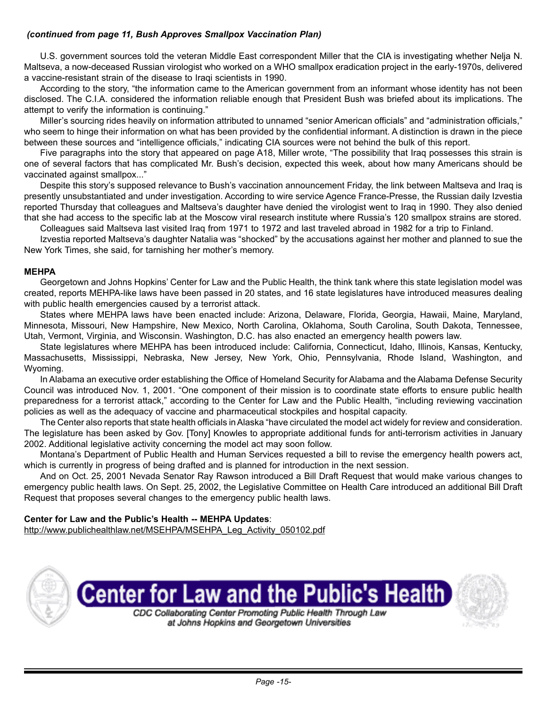### *(continued from page 11, Bush Approves Smallpox Vaccination Plan)*

U.S. government sources told the veteran Middle East correspondent Miller that the CIA is investigating whether Nelja N. Maltseva, a now-deceased Russian virologist who worked on a WHO smallpox eradication project in the early-1970s, delivered a vaccine-resistant strain of the disease to Iraqi scientists in 1990.

According to the story, "the information came to the American government from an informant whose identity has not been disclosed. The C.I.A. considered the information reliable enough that President Bush was briefed about its implications. The attempt to verify the information is continuing."

Miller's sourcing rides heavily on information attributed to unnamed "senior American officials" and "administration officials," who seem to hinge their information on what has been provided by the confidential informant. A distinction is drawn in the piece between these sources and "intelligence officials," indicating CIA sources were not behind the bulk of this report.

Five paragraphs into the story that appeared on page A18, Miller wrote, "The possibility that Iraq possesses this strain is one of several factors that has complicated Mr. Bush's decision, expected this week, about how many Americans should be vaccinated against smallpox..."

Despite this story's supposed relevance to Bush's vaccination announcement Friday, the link between Maltseva and Iraq is presently unsubstantiated and under investigation. According to wire service Agence France-Presse, the Russian daily Izvestia reported Thursday that colleagues and Maltseva's daughter have denied the virologist went to Iraq in 1990. They also denied that she had access to the specific lab at the Moscow viral research institute where Russia's 120 smallpox strains are stored.

Colleagues said Maltseva last visited Iraq from 1971 to 1972 and last traveled abroad in 1982 for a trip to Finland.

Izvestia reported Maltseva's daughter Natalia was "shocked" by the accusations against her mother and planned to sue the New York Times, she said, for tarnishing her mother's memory.

### **MEHPA**

Georgetown and Johns Hopkins' Center for Law and the Public Health, the think tank where this state legislation model was created, reports MEHPA-like laws have been passed in 20 states, and 16 state legislatures have introduced measures dealing with public health emergencies caused by a terrorist attack.

States where MEHPA laws have been enacted include: Arizona, Delaware, Florida, Georgia, Hawaii, Maine, Maryland, Minnesota, Missouri, New Hampshire, New Mexico, North Carolina, Oklahoma, South Carolina, South Dakota, Tennessee, Utah, Vermont, Virginia, and Wisconsin. Washington, D.C. has also enacted an emergency health powers law.

State legislatures where MEHPA has been introduced include: California, Connecticut, Idaho, Illinois, Kansas, Kentucky, Massachusetts, Mississippi, Nebraska, New Jersey, New York, Ohio, Pennsylvania, Rhode Island, Washington, and Wyoming.

In Alabama an executive order establishing the Office of Homeland Security for Alabama and the Alabama Defense Security Council was introduced Nov. 1, 2001. "One component of their mission is to coordinate state efforts to ensure public health preparedness for a terrorist attack," according to the Center for Law and the Public Health, "including reviewing vaccination policies as well as the adequacy of vaccine and pharmaceutical stockpiles and hospital capacity.

The Center also reports that state health officials in Alaska "have circulated the model act widely for review and consideration. The legislature has been asked by Gov. [Tony] Knowles to appropriate additional funds for anti-terrorism activities in January 2002. Additional legislative activity concerning the model act may soon follow.

Montana's Department of Public Health and Human Services requested a bill to revise the emergency health powers act, which is currently in progress of being drafted and is planned for introduction in the next session.

And on Oct. 25, 2001 Nevada Senator Ray Rawson introduced a Bill Draft Request that would make various changes to emergency public health laws. On Sept. 25, 2002, the Legislative Committee on Health Care introduced an additional Bill Draft Request that proposes several changes to the emergency public health laws.

### **Center for Law and the Public's Health -- MEHPA Updates**:

[http://www.publichealthlaw.net/MSEHPA/MSEHPA\\_Leg\\_Activity\\_050102.pdf](http://www.publichealthlaw.net/MSEHPA/MSEHPA_Leg_Activity_050102.pdf)